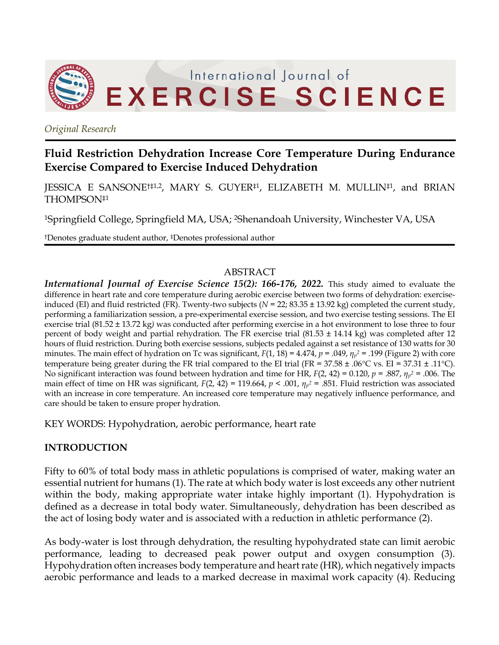

*Original Research*

# **Fluid Restriction Dehydration Increase Core Temperature During Endurance Exercise Compared to Exercise Induced Dehydration**

JESSICA E SANSONE†‡1,2, MARY S. GUYER‡1, ELIZABETH M. MULLIN‡1, and BRIAN THOMPSON‡1

1Springfield College, Springfield MA, USA; 2Shenandoah University, Winchester VA, USA

†Denotes graduate student author, ‡Denotes professional author

#### ABSTRACT

*International Journal of Exercise Science 15(2): 166-176, 2022.* This study aimed to evaluate the difference in heart rate and core temperature during aerobic exercise between two forms of dehydration: exerciseinduced (EI) and fluid restricted (FR). Twenty-two subjects (*N* = 22; 83.35 *±* 13.92 kg) completed the current study, performing a familiarization session, a pre-experimental exercise session, and two exercise testing sessions. The EI exercise trial (81.52 *±* 13.72 kg*)* was conducted after performing exercise in a hot environment to lose three to four percent of body weight and partial rehydration. The FR exercise trial (81.53 *±* 14.14 kg) was completed after 12 hours of fluid restriction. During both exercise sessions, subjects pedaled against a set resistance of 130 watts for 30 minutes. The main effect of hydration on Tc was significant, *F*(1, 18) = 4.474, *p* = .049, *η<sup>p</sup> <sup>2</sup>* = .199 (Figure 2) with core temperature being greater during the FR trial compared to the EI trial (FR = 37.58 *±* .06°C vs. EI = 37.31 *±* .11°C). No significant interaction was found between hydration and time for HR, *F*(2, 42) = 0.120, *p* = .887, *η<sup>p</sup> <sup>2</sup>* = .006. The main effect of time on HR was significant,  $F(2, 42) = 119.664$ ,  $p < .001$ ,  $\eta_p^2 = .851$ . Fluid restriction was associated with an increase in core temperature. An increased core temperature may negatively influence performance, and care should be taken to ensure proper hydration.

KEY WORDS: Hypohydration, aerobic performance, heart rate

## **INTRODUCTION**

Fifty to 60% of total body mass in athletic populations is comprised of water, making water an essential nutrient for humans (1). The rate at which body water is lost exceeds any other nutrient within the body, making appropriate water intake highly important (1). Hypohydration is defined as a decrease in total body water. Simultaneously, dehydration has been described as the act of losing body water and is associated with a reduction in athletic performance (2).

As body-water is lost through dehydration, the resulting hypohydrated state can limit aerobic performance, leading to decreased peak power output and oxygen consumption (3). Hypohydration often increases body temperature and heart rate (HR), which negatively impacts aerobic performance and leads to a marked decrease in maximal work capacity (4). Reducing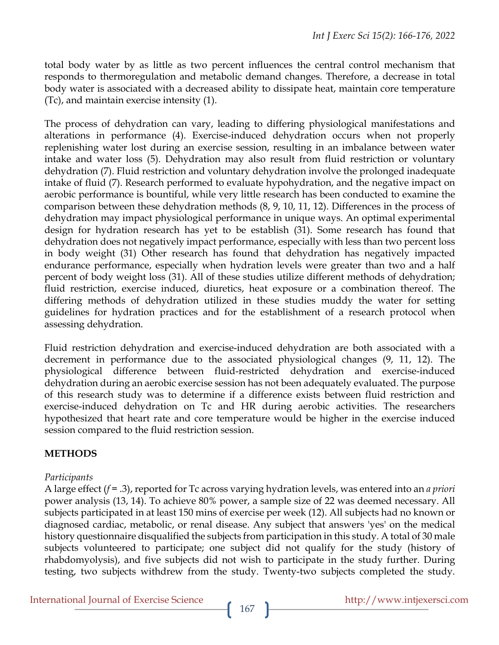total body water by as little as two percent influences the central control mechanism that responds to thermoregulation and metabolic demand changes. Therefore, a decrease in total body water is associated with a decreased ability to dissipate heat, maintain core temperature (Tc), and maintain exercise intensity (1).

The process of dehydration can vary, leading to differing physiological manifestations and alterations in performance (4). Exercise-induced dehydration occurs when not properly replenishing water lost during an exercise session, resulting in an imbalance between water intake and water loss (5). Dehydration may also result from fluid restriction or voluntary dehydration (7). Fluid restriction and voluntary dehydration involve the prolonged inadequate intake of fluid (7). Research performed to evaluate hypohydration, and the negative impact on aerobic performance is bountiful, while very little research has been conducted to examine the comparison between these dehydration methods (8, 9, 10, 11, 12). Differences in the process of dehydration may impact physiological performance in unique ways. An optimal experimental design for hydration research has yet to be establish (31). Some research has found that dehydration does not negatively impact performance, especially with less than two percent loss in body weight (31) Other research has found that dehydration has negatively impacted endurance performance, especially when hydration levels were greater than two and a half percent of body weight loss (31). All of these studies utilize different methods of dehydration; fluid restriction, exercise induced, diuretics, heat exposure or a combination thereof. The differing methods of dehydration utilized in these studies muddy the water for setting guidelines for hydration practices and for the establishment of a research protocol when assessing dehydration.

Fluid restriction dehydration and exercise-induced dehydration are both associated with a decrement in performance due to the associated physiological changes (9, 11, 12). The physiological difference between fluid-restricted dehydration and exercise-induced dehydration during an aerobic exercise session has not been adequately evaluated. The purpose of this research study was to determine if a difference exists between fluid restriction and exercise-induced dehydration on Tc and HR during aerobic activities. The researchers hypothesized that heart rate and core temperature would be higher in the exercise induced session compared to the fluid restriction session.

## **METHODS**

#### *Participants*

A large effect (*f* = .3), reported for Tc across varying hydration levels, was entered into an *a priori* power analysis (13, 14). To achieve 80% power, a sample size of 22 was deemed necessary. All subjects participated in at least 150 mins of exercise per week (12). All subjects had no known or diagnosed cardiac, metabolic, or renal disease. Any subject that answers 'yes' on the medical history questionnaire disqualified the subjects from participation in this study. A total of 30 male subjects volunteered to participate; one subject did not qualify for the study (history of rhabdomyolysis), and five subjects did not wish to participate in the study further. During testing, two subjects withdrew from the study. Twenty-two subjects completed the study.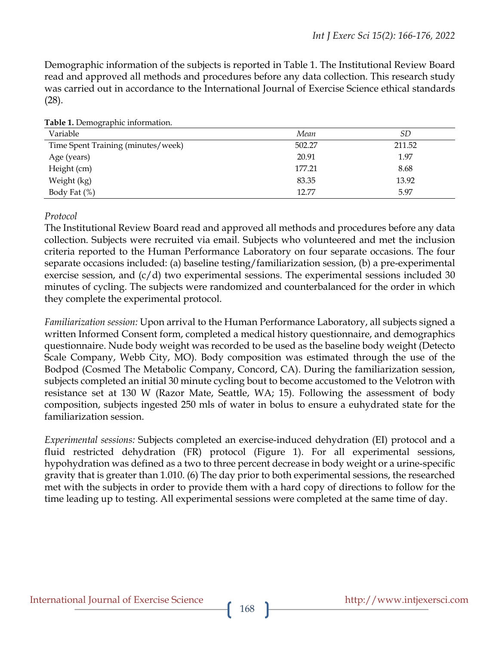Demographic information of the subjects is reported in Table 1. The Institutional Review Board read and approved all methods and procedures before any data collection. This research study was carried out in accordance to the International Journal of Exercise Science ethical standards (28).

| Variable                           | Mean   | SD     |
|------------------------------------|--------|--------|
| Time Spent Training (minutes/week) | 502.27 | 211.52 |
| Age (years)                        | 20.91  | 1.97   |
| Height (cm)                        | 177.21 | 8.68   |
| Weight (kg)                        | 83.35  | 13.92  |
| Body Fat $(\%)$                    | 12.77  | 5.97   |

**Table 1.** Demographic information.

#### *Protocol*

The Institutional Review Board read and approved all methods and procedures before any data collection. Subjects were recruited via email. Subjects who volunteered and met the inclusion criteria reported to the Human Performance Laboratory on four separate occasions. The four separate occasions included: (a) baseline testing/familiarization session, (b) a pre-experimental exercise session, and  $(c/d)$  two experimental sessions. The experimental sessions included 30 minutes of cycling. The subjects were randomized and counterbalanced for the order in which they complete the experimental protocol.

*Familiarization session:* Upon arrival to the Human Performance Laboratory, all subjects signed a written Informed Consent form, completed a medical history questionnaire, and demographics questionnaire. Nude body weight was recorded to be used as the baseline body weight (Detecto Scale Company, Webb City, MO). Body composition was estimated through the use of the Bodpod (Cosmed The Metabolic Company, Concord, CA). During the familiarization session, subjects completed an initial 30 minute cycling bout to become accustomed to the Velotron with resistance set at 130 W (Razor Mate, Seattle, WA; 15). Following the assessment of body composition, subjects ingested 250 mls of water in bolus to ensure a euhydrated state for the familiarization session.

*Experimental sessions:* Subjects completed an exercise-induced dehydration (EI) protocol and a fluid restricted dehydration (FR) protocol (Figure 1). For all experimental sessions, hypohydration was defined as a two to three percent decrease in body weight or a urine-specific gravity that is greater than 1.010. (6) The day prior to both experimental sessions, the researched met with the subjects in order to provide them with a hard copy of directions to follow for the time leading up to testing. All experimental sessions were completed at the same time of day.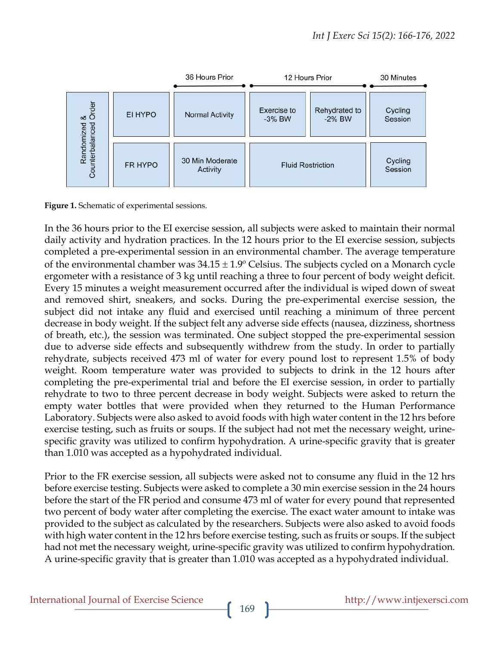

**Figure 1.** Schematic of experimental sessions.

In the 36 hours prior to the EI exercise session, all subjects were asked to maintain their normal daily activity and hydration practices. In the 12 hours prior to the EI exercise session, subjects completed a pre-experimental session in an environmental chamber. The average temperature of the environmental chamber was  $34.15 \pm 1.9$ ° Celsius. The subjects cycled on a Monarch cycle ergometer with a resistance of 3 kg until reaching a three to four percent of body weight deficit. Every 15 minutes a weight measurement occurred after the individual is wiped down of sweat and removed shirt, sneakers, and socks. During the pre-experimental exercise session, the subject did not intake any fluid and exercised until reaching a minimum of three percent decrease in body weight. If the subject felt any adverse side effects (nausea, dizziness, shortness of breath, etc.), the session was terminated. One subject stopped the pre-experimental session due to adverse side effects and subsequently withdrew from the study. In order to partially rehydrate, subjects received 473 ml of water for every pound lost to represent 1.5% of body weight. Room temperature water was provided to subjects to drink in the 12 hours after completing the pre-experimental trial and before the EI exercise session, in order to partially rehydrate to two to three percent decrease in body weight. Subjects were asked to return the empty water bottles that were provided when they returned to the Human Performance Laboratory. Subjects were also asked to avoid foods with high water content in the 12 hrs before exercise testing, such as fruits or soups. If the subject had not met the necessary weight, urinespecific gravity was utilized to confirm hypohydration. A urine-specific gravity that is greater than 1.010 was accepted as a hypohydrated individual.

Prior to the FR exercise session, all subjects were asked not to consume any fluid in the 12 hrs before exercise testing. Subjects were asked to complete a 30 min exercise session in the 24 hours before the start of the FR period and consume 473 ml of water for every pound that represented two percent of body water after completing the exercise. The exact water amount to intake was provided to the subject as calculated by the researchers. Subjects were also asked to avoid foods with high water content in the 12 hrs before exercise testing, such as fruits or soups. If the subject had not met the necessary weight, urine-specific gravity was utilized to confirm hypohydration. A urine-specific gravity that is greater than 1.010 was accepted as a hypohydrated individual.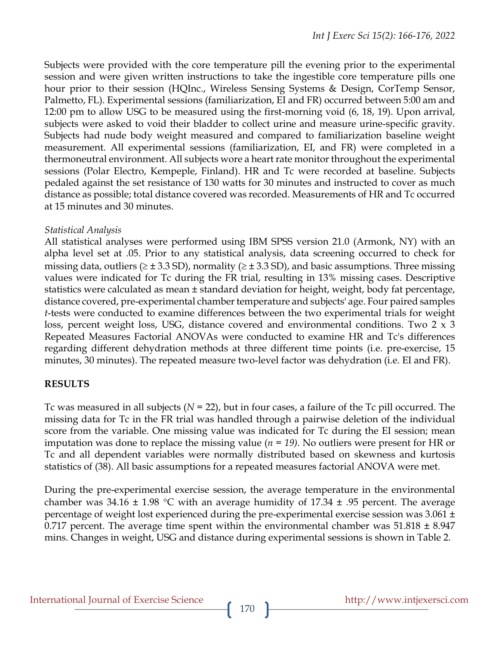Subjects were provided with the core temperature pill the evening prior to the experimental session and were given written instructions to take the ingestible core temperature pills one hour prior to their session (HQInc., Wireless Sensing Systems & Design, CorTemp Sensor, Palmetto, FL). Experimental sessions (familiarization, EI and FR) occurred between 5:00 am and 12:00 pm to allow USG to be measured using the first-morning void (6, 18, 19). Upon arrival, subjects were asked to void their bladder to collect urine and measure urine-specific gravity. Subjects had nude body weight measured and compared to familiarization baseline weight measurement. All experimental sessions (familiarization, EI, and FR) were completed in a thermoneutral environment. All subjects wore a heart rate monitor throughout the experimental sessions (Polar Electro, Kempeple, Finland). HR and Tc were recorded at baseline. Subjects pedaled against the set resistance of 130 watts for 30 minutes and instructed to cover as much distance as possible; total distance covered was recorded. Measurements of HR and Tc occurred at 15 minutes and 30 minutes.

#### *Statistical Analysis*

All statistical analyses were performed using IBM SPSS version 21.0 (Armonk, NY) with an alpha level set at .05. Prior to any statistical analysis, data screening occurred to check for missing data, outliers ( $\geq \pm 3.3$  SD), normality ( $\geq \pm 3.3$  SD), and basic assumptions. Three missing values were indicated for Tc during the FR trial, resulting in 13% missing cases. Descriptive statistics were calculated as mean *±* standard deviation for height, weight, body fat percentage, distance covered, pre-experimental chamber temperature and subjects' age. Four paired samples *t*-tests were conducted to examine differences between the two experimental trials for weight loss, percent weight loss, USG, distance covered and environmental conditions. Two 2 x 3 Repeated Measures Factorial ANOVAs were conducted to examine HR and Tc's differences regarding different dehydration methods at three different time points (i.e. pre-exercise, 15 minutes, 30 minutes). The repeated measure two-level factor was dehydration (i.e. EI and FR).

## **RESULTS**

Tc was measured in all subjects (*N* = 22), but in four cases, a failure of the Tc pill occurred. The missing data for Tc in the FR trial was handled through a pairwise deletion of the individual score from the variable. One missing value was indicated for Tc during the EI session; mean imputation was done to replace the missing value (*n = 19).* No outliers were present for HR or Tc and all dependent variables were normally distributed based on skewness and kurtosis statistics of (38). All basic assumptions for a repeated measures factorial ANOVA were met.

During the pre-experimental exercise session, the average temperature in the environmental chamber was 34.16 *±* 1.98 °C with an average humidity of 17.34 *±* .95 percent. The average percentage of weight lost experienced during the pre-experimental exercise session was 3.061 *±*  0.717 percent. The average time spent within the environmental chamber was 51.818 *±* 8.947 mins. Changes in weight, USG and distance during experimental sessions is shown in Table 2.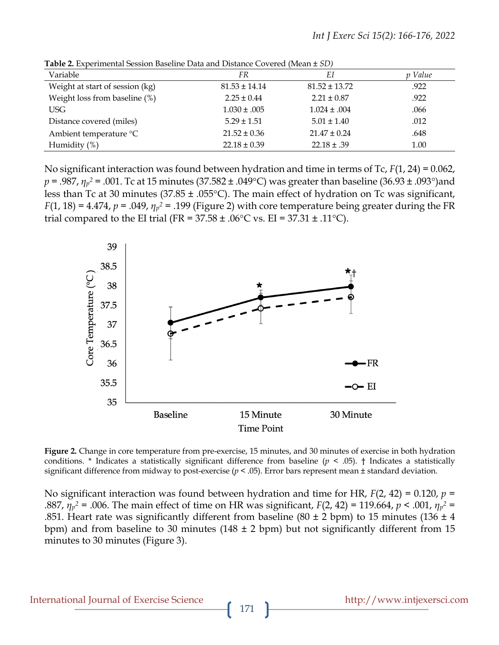| Variable                        | <i>FR</i>         | ΕI                | p Value |  |
|---------------------------------|-------------------|-------------------|---------|--|
| Weight at start of session (kg) | $81.53 \pm 14.14$ | $81.52 \pm 13.72$ | .922    |  |
| Weight loss from baseline (%)   | $2.25 \pm 0.44$   | $2.21 \pm 0.87$   | .922    |  |
| USG                             | $1.030 \pm .005$  | $1.024 \pm .004$  | .066    |  |
| Distance covered (miles)        | $5.29 \pm 1.51$   | $5.01 \pm 1.40$   | .012    |  |
| Ambient temperature °C          | $21.52 \pm 0.36$  | $21.47 \pm 0.24$  | .648    |  |
| Humidity $(\%)$                 | $22.18 \pm 0.39$  | $22.18 \pm .39$   | 1.00    |  |
|                                 |                   |                   |         |  |

**Table 2.** Experimental Session Baseline Data and Distance Covered (Mean *± SD)*

No significant interaction was found between hydration and time in terms of Tc, *F*(1, 24) = 0.062, *p* = .987, *η<sup>p</sup> <sup>2</sup>* = .001. Tc at 15 minutes (37.582 *±* .049°C) was greater than baseline (36.93 *±* .093°)and less than Tc at 30 minutes (37.85 *±* .055°C). The main effect of hydration on Tc was significant, *F*(1, 18) = 4.474, *p* = .049,  $\eta_p^2$  = .199 (Figure 2) with core temperature being greater during the FR trial compared to the EI trial (FR = 37.58 *±* .06°C vs. EI = 37.31 *±* .11°C).



**Figure 2.** Change in core temperature from pre-exercise, 15 minutes, and 30 minutes of exercise in both hydration conditions. \* Indicates a statistically significant difference from baseline ( $p \le 0.05$ ). † Indicates a statistically significant difference from midway to post-exercise (*p* < .05). Error bars represent mean *±* standard deviation.

No significant interaction was found between hydration and time for HR, *F*(2, 42) = 0.120, *p* = .887,  $η<sub>p</sub><sup>2</sup> = .006$ . The main effect of time on HR was significant,  $F(2, 42) = 119.664$ ,  $p < .001$ ,  $η<sub>p</sub><sup>2</sup> =$ .851. Heart rate was significantly different from baseline (80 *±* 2 bpm) to 15 minutes (136 *±* 4 bpm) and from baseline to 30 minutes (148 *±* 2 bpm) but not significantly different from 15 minutes to 30 minutes (Figure 3).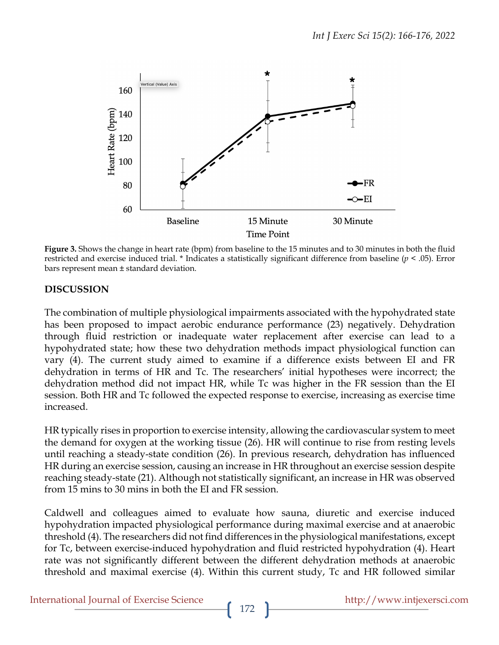

**Figure 3.** Shows the change in heart rate (bpm) from baseline to the 15 minutes and to 30 minutes in both the fluid restricted and exercise induced trial. \* Indicates a statistically significant difference from baseline (*p* < .05). Error bars represent mean *±* standard deviation.

## **DISCUSSION**

The combination of multiple physiological impairments associated with the hypohydrated state has been proposed to impact aerobic endurance performance (23) negatively. Dehydration through fluid restriction or inadequate water replacement after exercise can lead to a hypohydrated state; how these two dehydration methods impact physiological function can vary (4). The current study aimed to examine if a difference exists between EI and FR dehydration in terms of HR and Tc. The researchers' initial hypotheses were incorrect; the dehydration method did not impact HR, while Tc was higher in the FR session than the EI session. Both HR and Tc followed the expected response to exercise, increasing as exercise time increased.

HR typically rises in proportion to exercise intensity, allowing the cardiovascular system to meet the demand for oxygen at the working tissue (26). HR will continue to rise from resting levels until reaching a steady-state condition (26). In previous research, dehydration has influenced HR during an exercise session, causing an increase in HR throughout an exercise session despite reaching steady-state (21). Although not statistically significant, an increase in HR was observed from 15 mins to 30 mins in both the EI and FR session.

Caldwell and colleagues aimed to evaluate how sauna, diuretic and exercise induced hypohydration impacted physiological performance during maximal exercise and at anaerobic threshold (4). The researchers did not find differences in the physiological manifestations, except for Tc, between exercise-induced hypohydration and fluid restricted hypohydration (4). Heart rate was not significantly different between the different dehydration methods at anaerobic threshold and maximal exercise (4). Within this current study, Tc and HR followed similar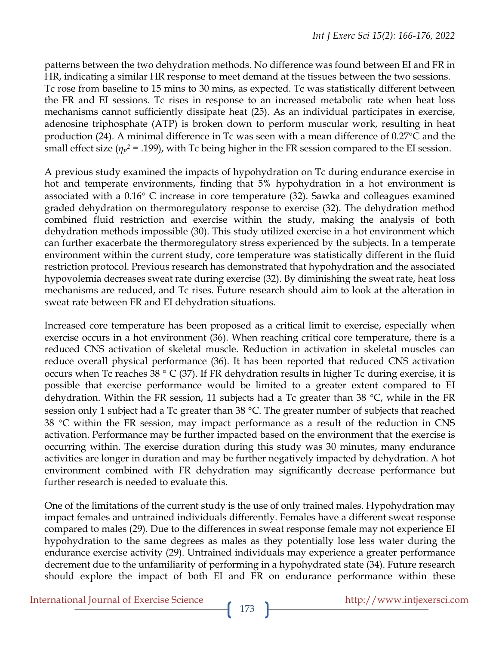patterns between the two dehydration methods. No difference was found between EI and FR in HR, indicating a similar HR response to meet demand at the tissues between the two sessions. Tc rose from baseline to 15 mins to 30 mins, as expected. Tc was statistically different between the FR and EI sessions. Tc rises in response to an increased metabolic rate when heat loss mechanisms cannot sufficiently dissipate heat (25). As an individual participates in exercise, adenosine triphosphate (ATP) is broken down to perform muscular work, resulting in heat production (24). A minimal difference in Tc was seen with a mean difference of 0.27°C and the small effect size (*η<sup>p</sup> <sup>2</sup>* = .199), with Tc being higher in the FR session compared to the EI session.

A previous study examined the impacts of hypohydration on Tc during endurance exercise in hot and temperate environments, finding that 5% hypohydration in a hot environment is associated with a 0.16° C increase in core temperature (32). Sawka and colleagues examined graded dehydration on thermoregulatory response to exercise (32). The dehydration method combined fluid restriction and exercise within the study, making the analysis of both dehydration methods impossible (30). This study utilized exercise in a hot environment which can further exacerbate the thermoregulatory stress experienced by the subjects. In a temperate environment within the current study, core temperature was statistically different in the fluid restriction protocol. Previous research has demonstrated that hypohydration and the associated hypovolemia decreases sweat rate during exercise (32). By diminishing the sweat rate, heat loss mechanisms are reduced, and Tc rises. Future research should aim to look at the alteration in sweat rate between FR and EI dehydration situations.

Increased core temperature has been proposed as a critical limit to exercise, especially when exercise occurs in a hot environment (36). When reaching critical core temperature, there is a reduced CNS activation of skeletal muscle. Reduction in activation in skeletal muscles can reduce overall physical performance (36). It has been reported that reduced CNS activation occurs when Tc reaches 38  $\degree$  C (37). If FR dehydration results in higher Tc during exercise, it is possible that exercise performance would be limited to a greater extent compared to EI dehydration. Within the FR session, 11 subjects had a Tc greater than 38 °C, while in the FR session only 1 subject had a Tc greater than 38 °C. The greater number of subjects that reached 38 °C within the FR session, may impact performance as a result of the reduction in CNS activation. Performance may be further impacted based on the environment that the exercise is occurring within. The exercise duration during this study was 30 minutes, many endurance activities are longer in duration and may be further negatively impacted by dehydration. A hot environment combined with FR dehydration may significantly decrease performance but further research is needed to evaluate this.

One of the limitations of the current study is the use of only trained males. Hypohydration may impact females and untrained individuals differently. Females have a different sweat response compared to males (29). Due to the differences in sweat response female may not experience EI hypohydration to the same degrees as males as they potentially lose less water during the endurance exercise activity (29). Untrained individuals may experience a greater performance decrement due to the unfamiliarity of performing in a hypohydrated state (34). Future research should explore the impact of both EI and FR on endurance performance within these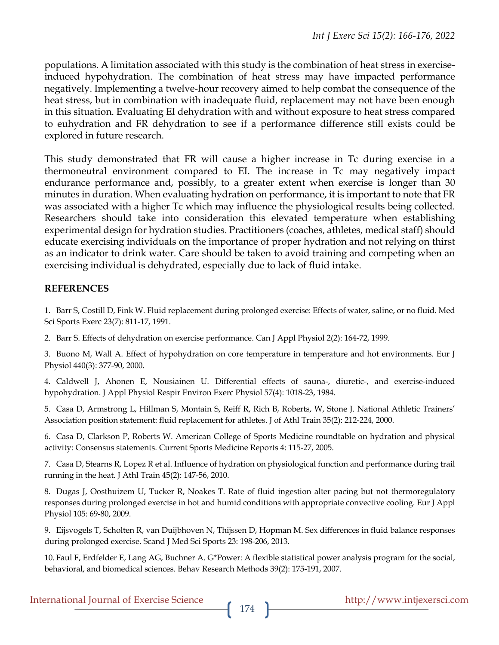populations. A limitation associated with this study is the combination of heat stress in exerciseinduced hypohydration. The combination of heat stress may have impacted performance negatively. Implementing a twelve-hour recovery aimed to help combat the consequence of the heat stress, but in combination with inadequate fluid, replacement may not have been enough in this situation. Evaluating EI dehydration with and without exposure to heat stress compared to euhydration and FR dehydration to see if a performance difference still exists could be explored in future research.

This study demonstrated that FR will cause a higher increase in Tc during exercise in a thermoneutral environment compared to EI. The increase in Tc may negatively impact endurance performance and, possibly, to a greater extent when exercise is longer than 30 minutes in duration. When evaluating hydration on performance, it is important to note that FR was associated with a higher Tc which may influence the physiological results being collected. Researchers should take into consideration this elevated temperature when establishing experimental design for hydration studies. Practitioners (coaches, athletes, medical staff) should educate exercising individuals on the importance of proper hydration and not relying on thirst as an indicator to drink water. Care should be taken to avoid training and competing when an exercising individual is dehydrated, especially due to lack of fluid intake.

## **REFERENCES**

1. Barr S, Costill D, Fink W. Fluid replacement during prolonged exercise: Effects of water, saline, or no fluid. Med Sci Sports Exerc 23(7): 811-17, 1991.

2. Barr S. Effects of dehydration on exercise performance. Can J Appl Physiol 2(2): 164-72, 1999.

3. Buono M, Wall A. Effect of hypohydration on core temperature in temperature and hot environments. Eur J Physiol 440(3): 377-90, 2000.

4. Caldwell J, Ahonen E, Nousiainen U. Differential effects of sauna-, diuretic-, and exercise-induced hypohydration. J Appl Physiol Respir Environ Exerc Physiol 57(4): 1018-23, 1984.

5. Casa D, Armstrong L, Hillman S, Montain S, Reiff R, Rich B, Roberts, W, Stone J. National Athletic Trainers' Association position statement: fluid replacement for athletes. J of Athl Train 35(2): 212-224, 2000.

6. Casa D, Clarkson P, Roberts W. American College of Sports Medicine roundtable on hydration and physical activity: Consensus statements. Current Sports Medicine Reports 4: 115-27, 2005.

7. Casa D, Stearns R, Lopez R et al. Influence of hydration on physiological function and performance during trail running in the heat. J Athl Train 45(2): 147-56, 2010.

8. Dugas J, Oosthuizem U, Tucker R, Noakes T. Rate of fluid ingestion alter pacing but not thermoregulatory responses during prolonged exercise in hot and humid conditions with appropriate convective cooling. Eur J Appl Physiol 105: 69-80, 2009.

9. Eijsvogels T, Scholten R, van Duijbhoven N, Thijssen D, Hopman M. Sex differences in fluid balance responses during prolonged exercise. Scand J Med Sci Sports 23: 198-206, 2013.

10. Faul F, Erdfelder E, Lang AG, Buchner A. G\*Power: A flexible statistical power analysis program for the social, behavioral, and biomedical sciences. Behav Research Methods 39(2): 175-191, 2007.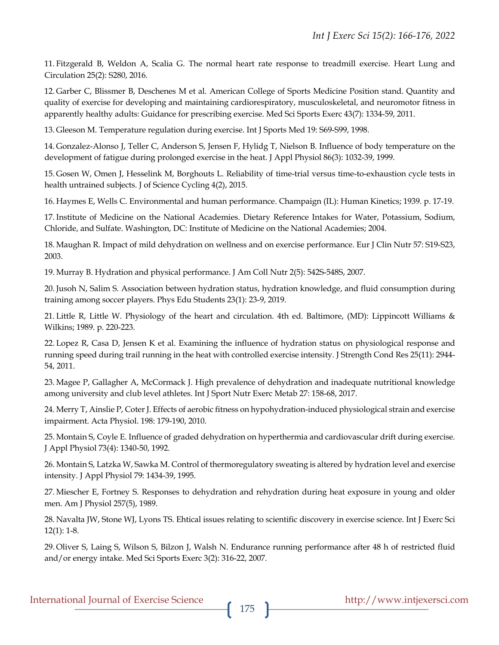11. Fitzgerald B, Weldon A, Scalia G. The normal heart rate response to treadmill exercise. Heart Lung and Circulation 25(2): S280, 2016.

12. Garber C, Blissmer B, Deschenes M et al. American College of Sports Medicine Position stand. Quantity and quality of exercise for developing and maintaining cardiorespiratory, musculoskeletal, and neuromotor fitness in apparently healthy adults: Guidance for prescribing exercise. Med Sci Sports Exerc 43(7): 1334-59, 2011.

13. Gleeson M. Temperature regulation during exercise. Int J Sports Med 19: S69-S99, 1998.

14. Gonzalez-Alonso J, Teller C, Anderson S, Jensen F, Hylidg T, Nielson B. Influence of body temperature on the development of fatigue during prolonged exercise in the heat. J Appl Physiol 86(3): 1032-39, 1999.

15. Gosen W, Omen J, Hesselink M, Borghouts L. Reliability of time-trial versus time-to-exhaustion cycle tests in health untrained subjects. J of Science Cycling 4(2), 2015.

16. Haymes E, Wells C. Environmental and human performance. Champaign (IL): Human Kinetics; 1939. p. 17-19.

17. Institute of Medicine on the National Academies. Dietary Reference Intakes for Water, Potassium, Sodium, Chloride, and Sulfate. Washington, DC: Institute of Medicine on the National Academies; 2004.

18. Maughan R. Impact of mild dehydration on wellness and on exercise performance. Eur J Clin Nutr 57: S19-S23, 2003.

19. Murray B. Hydration and physical performance. J Am Coll Nutr 2(5): 542S-548S, 2007.

20. Jusoh N, Salim S. Association between hydration status, hydration knowledge, and fluid consumption during training among soccer players. Phys Edu Students 23(1): 23-9, 2019.

21. Little R, Little W. Physiology of the heart and circulation. 4th ed. Baltimore, (MD): Lippincott Williams & Wilkins; 1989. p. 220-223.

22. Lopez R, Casa D, Jensen K et al. Examining the influence of hydration status on physiological response and running speed during trail running in the heat with controlled exercise intensity. J Strength Cond Res 25(11): 2944- 54, 2011.

23. Magee P, Gallagher A, McCormack J. High prevalence of dehydration and inadequate nutritional knowledge among university and club level athletes. Int J Sport Nutr Exerc Metab 27: 158-68, 2017.

24. Merry T, Ainslie P, Coter J. Effects of aerobic fitness on hypohydration-induced physiological strain and exercise impairment. Acta Physiol. 198: 179-190, 2010.

25. Montain S, Coyle E. Influence of graded dehydration on hyperthermia and cardiovascular drift during exercise. J Appl Physiol 73(4): 1340-50, 1992.

26. Montain S, Latzka W, Sawka M. Control of thermoregulatory sweating is altered by hydration level and exercise intensity. J Appl Physiol 79: 1434-39, 1995.

27. Miescher E, Fortney S. Responses to dehydration and rehydration during heat exposure in young and older men. Am J Physiol 257(5), 1989.

28. Navalta JW, Stone WJ, Lyons TS. Ehtical issues relating to scientific discovery in exercise science. Int J Exerc Sci 12(1): 1-8.

29. Oliver S, Laing S, Wilson S, Bilzon J, Walsh N. Endurance running performance after 48 h of restricted fluid and/or energy intake. Med Sci Sports Exerc 3(2): 316-22, 2007.